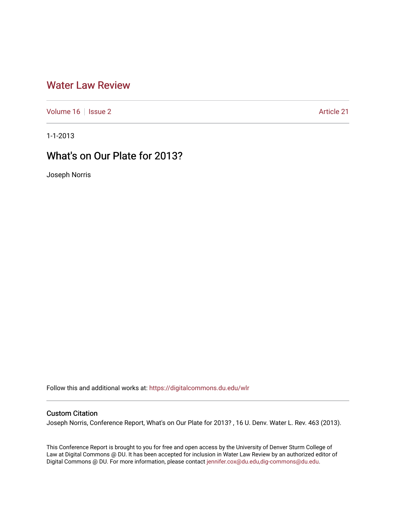# [Water Law Review](https://digitalcommons.du.edu/wlr)

[Volume 16](https://digitalcommons.du.edu/wlr/vol16) | [Issue 2](https://digitalcommons.du.edu/wlr/vol16/iss2) Article 21

1-1-2013

# What's on Our Plate for 2013?

Joseph Norris

Follow this and additional works at: [https://digitalcommons.du.edu/wlr](https://digitalcommons.du.edu/wlr?utm_source=digitalcommons.du.edu%2Fwlr%2Fvol16%2Fiss2%2F21&utm_medium=PDF&utm_campaign=PDFCoverPages) 

# Custom Citation

Joseph Norris, Conference Report, What's on Our Plate for 2013? , 16 U. Denv. Water L. Rev. 463 (2013).

This Conference Report is brought to you for free and open access by the University of Denver Sturm College of Law at Digital Commons @ DU. It has been accepted for inclusion in Water Law Review by an authorized editor of Digital Commons @ DU. For more information, please contact [jennifer.cox@du.edu,dig-commons@du.edu](mailto:jennifer.cox@du.edu,dig-commons@du.edu).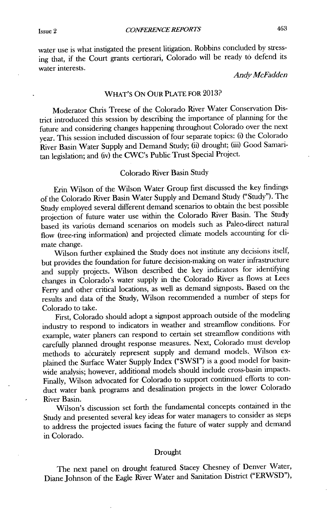water use is what instigated the present litigation. Robbins concluded **by** stressing that, if the Court grants certiorani, Colorado will be ready to defend its water interests.

*Andy McFadden*

### WHAT'S **ON** OUR **PLATE FOR 2013?**

Moderator Chris Treese of the Colorado River Water Conservation **Dis**trict introduced this session **by** describing the importance of planning for the future and considering changes happening throughout Colorado over the next year. This session included discussion of four separate topics: **(i)** the Colorado River Basin Water Supply and Demand Study; (ii) drought; **(iii)** Good Samaritan legislation; and (iv) the CWC's Public Trust Special Project.

### Colorado River Basin Study

Erin Wilson of the Wilson Water Group first discussed the key findings of the Colorado River Basin Water Supply and Demand Study ("Study"). The Study employed several different demand scenarios to obtain **the** best possible projection of future water use within the Colorado River Basin. The Study based its various demand scenarios on models such as Paleo-direct natural flow (tree-ring information) and projected climate models accounting for climate change.

Wilson further explained the Study does not institute any decisions itself, but provides the foundation for future decision-making on water infrastructure and supply projects. Wilson described the key indicators for identifying changes in Colorado's water supply in the Colorado River as flows at Lees Ferry and other critical locations, as well as demand signposts. Based on the results and data of the Study, Wilson recommended a number of steps for Colorado to take.

First, Colorado should adopt a signpost approach outside of the modeling industry to respond to indicators in weather and streamflow conditions. For example, water planers can respond to certain set streamflow conditions with carefully planned drought response measures. Next, Colorado must develop methods to accurately represent supply and demand models. Wilson explained the Surface Water Supply Index **("SWSI")** is a good model for basinwide analysis; however, additional models should include cross-basin impacts. Finally, Wilson advocated for Colorado to support continued efforts to conduct water bank programs and desalination projects in the lower Colorado River Basin.

Wilson's discussion set forth the fundamental concepts contained in the Study and presented several key ideas for water managers to consider as steps to address the projected issues facing the future of water supply and demand in Colorado.

#### Drought

The next panel on drought featured Stacey Chesney of Denver Water, Diane Johnson of the Eagle River Water and Sanitation District ("ERWSD"),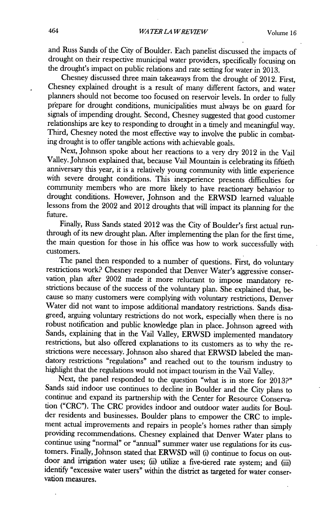and Russ Sands of the City of Boulder. Each panelist discussed the impacts of drought on their respective municipal water providers, specifically focusing on the drought's impact on public relations and rate setting for water in **2013.**

Chesney discussed three main takeaways from the drought of 2012. First, Chesney explained drought is a result of many different factors, and water planners should not become too focused on reservoir levels. In order to fully prepare for drought conditions, municipalities must always be on guard for signals of impending drought. Second, Chesney suggested that good customer relationships are key to responding to drought in a timely and meaningful way. Third, Chesney noted the most effective way to involve the public in combating drought is to offer tangible actions with achievable goals.

Next, Johnson spoke about her reactions to a very dry 2012 in the Vail Valley. Johnson explained that, because Vail Mountain is celebrating its fiftieth anniversary this year, it is a relatively young community with little experience with severe drought conditions. This inexperience presents difficulties for community members who are more likely to have reactionary behavior to drought conditions. However, Johnson and the ERWSD learned valuable lessons from the 2002 and 2012 droughts that will impact its planning for the future.

Finally, Russ Sands stated 2012 was the City of Boulder's first actual runthrough of its new drought plan. After implementing the plan for the first time, the main question for those in his office was how to work successfully with customers.

The panel then responded to a number of questions. First, do voluntary restrictions work? Chesney responded that Denver Water's aggressive conservation. plan after 2002 made it more reluctant to impose mandatory restrictions because of the success of the voluntary plan. She explained that, because so many customers were complying with voluntary restrictions, Denver Water did not want to impose additional mandatory restrictions. Sands disagreed, arguing voluntary restrictions do not work, especially when there is no robust notification and public knowledge plan in place. Johnson agreed with Sands, explaining that in the Vail Valley, ERWSD implemented mandatory restrictions, but also offered explanations to its customers as to why the restrictions were necessary. Johnson also shared that ERWSD labeled the mandatory restrictions "regulations" and reached out to the tourism industry to highlight that the regulations would not impact tourism in the Vail Valley.

Next, the panel responded to the question "what is in store for **2013?"** Sands said indoor use continues to decline **in** Boulder and the City plans to continue and expand its partnership with the Center for Resource Conservation ("CRC"). The CRC provides indoor and outdoor water audits for Boulder residents and businesses. Boulder plans to empower the CRC to implement actual improvements and repairs in people's homes rather than simply providing recommendations. Chesney explained that Denver Water plans to continue using "normal" or "annual" summer water use regulations for its customers. Finally, Johnson stated that ERWSD will (i) continue to focus on out-<br>door and irrigation water uses; (ii) utilize a five-tiered rate system; and (iii) identify "excessive water users" within the district as targeted for water conservation measures.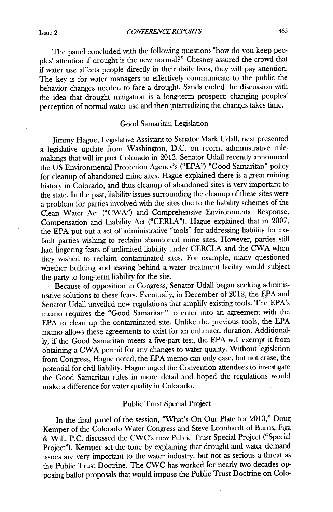The panel concluded with the following question: "how do you keep peoples' attention **if** drought is the new normal?" Chesney assured the crowd that if water use affects people directly in their daily lives, they will pay attention. The key is for water managers to effectively communicate to the public the behavior changes needed to face a drought. Sands ended the discussion with the idea that drought mitigation is a long-term prospect: changing peoples' perception of normal water use and then internalizing the changes takes time.

## Good Samaritan Legislation

Jimmy Hague, Legislative Assistant to Senator Mark Udall, next presented a legislative update from Washington, **D.C.** on recent administrative rulemakings that will impact Colorado in **2013.** Senator Udall recently announced the **US** Environmental Protection Agency's **("EPA")** "Good Samaritan" policy for cleanup of abandoned mine sites. Hague explained there is a great mining history in Colorado, and thus cleanup of abandoned sites is very important to the state. In the past, liability issues surrounding the cleanup of these sites were a problem for parties involved with the sites due to the liability schemes of the Clean Water Act ("CWA") and Comprehensive Environmental Response, Compensation and Lability Act ("CERLA"). Hague explained that in **2007,** the **EPA** put out a set of administrative "tools" for addressing liability for nofault parties wishing to reclaim abandoned mine sites. However, parties still had lingering fears of unlimited liability under CERCLA and the **CWA** when they wished to reclaim contaminated sites. For example, many questioned whether building and leaving behind a water treatment facility would subject the party to long-term liability for the site.

Because of opposition in Congress, Senator Udall began seeking administrative solutions to these fears. Eventually, in December of 2012, the EPA and Senator Udall unveiled new regulations that amplify existing tools. The EPA's memo requires the "Good Samaritan" to enter into an agreement with the **EPA** to clean up the contaminated site. Unlike the previous tools, the **EPA** memo allows these agreements to exist for an unlimited duration. Additional**ly,** if the Good Samaritan meets a five-part test, the **EPA** will exempt it from obtaining a CWA permit for any changes to water quality. Without legislation from Congress, Hague noted, the **EPA** memo can only ease, but not erase, the potential for civil liability. Hague urged the Convention attendees to investigate the Good Samaritan rules in more detail and hoped the regulations would make a difference for water quality in Colorado.

#### Public Trust Special Project

In the final panel of the session, "What's On Our Plate for **2013,"** Doug Kemper of the Colorado Water Congress and Steve Leonhardt of Bums, Figa **&** Will, **P.C.** discussed the CWC's new Public Trust Special Project ("Special Project"). Kemper set the tone **by** explaining that drought and water demand issues are very important to the water industry, but not as serious a threat as the Public Trust Doctrine. The CWC has worked for nearly two decades opposing ballot proposals that would impose the Public Trust Doctrine on Colo-